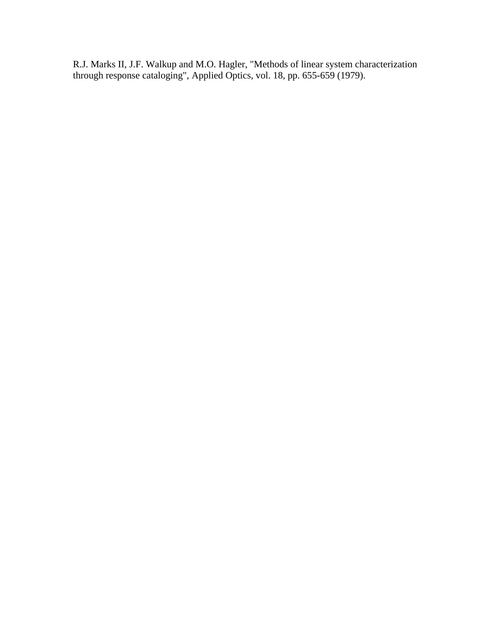R.J. Marks II, J.F. Walkup and M.O. Hagler, "Methods of linear system characterization through response cataloging", Applied Optics, vol. 18, pp. 655-659 (1979).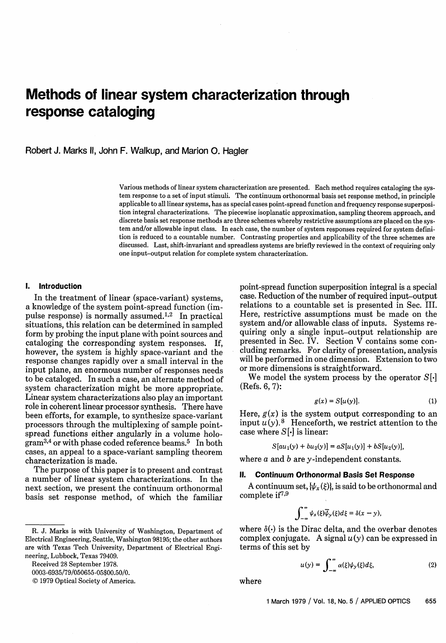# **Methods of linear system characterization through response cataloging**

Robert J. Marks 11, John F. Walkup, and Marion 0. Hagler

Various methods of linear system characterization are presented. Each method requires cataloging the system response to a set of input stimuli. The continuum orthonormal basis set response method, in principle applicable to all linear systems, has as special cases point-spread function and frequency response superposition integral characterizations. The piecewise isoplanatic approximation, sampling theorem approach, and discrete basis set response methods are three schemes whereby restrictive assumptions are placed on the system and/or allowable input class. In each case, the number of system responses required for system definition is reduced to a countable number. Contrasting properties and applicability of the three schemes are discussed. Last, shift-invariant and spreadless systems are briefly reviewed in the context of requiring only one input-output relation for complete system characterization.

#### **1. Introduction**

In the treatment of linear (space-variant) systems, a knowledge of the system point-spread function (impulse response) is normally assumed.<sup>1,2</sup> In practical situations, this relation can be determined in sampled form by probing the input plane with point sources and cataloging the corresponding system responses. If, however, the system is highly space-variant and the response changes rapidly over a small interval in the input plane, an enormous number of responses needs to be cataloged. In such a case, an alternate method of system characterization might be more appropriate. Linear system characterizations also play an important role in coherent linear processor synthesis. There have been efforts, for example, to synthesize space-variant processors through the multiplexing of sample pointspread functions either angularly in a volume hologram<sup>3,4</sup> or with phase coded reference beams.<sup>5</sup> In both cases, an appeal to a space-variant sampling theorem characterization is made.

The purpose of this paper is to present and contrast a number of linear system characterizations. In the next section, we present the continuum orthonormal basis set response method, of which the familiar

Received 28 September 1978.

0003-6935/79/050655-05\$00.50/0.

© 1979 Optical Society of America.

point-spread function superposition integral is a special case. Reduction of the number of required input-output relations to a countable set is presented in Sec. III. Here, restrictive assumptions must be made on the system and/or allowable class of inputs. Systems requiring only a single input-output relationship are presented in Sec. IV. Section V contains some concluding remarks. For clarity of presentation, analysis will be performed in one dimension. Extension to two or more dimensions is straightforward.

We model the system process by the operator  $S[\cdot]$ (Refs. 6, 7):

$$
g(x) = S[u(y)].
$$
 (1)

Here,  $g(x)$  is the system output corresponding to an input  $u(y)$ .<sup>8</sup> Henceforth, we restrict attention to the case where  $S[\cdot]$  is linear:

$$
S[au_1(y) + bu_2(y)] = aS[u_1(y)] + bS[u_2(y)],
$$

where  $a$  and  $b$  are  $y$ -independent constants.

## **II. Continuum Orthonormal Basis Set Response**

A continuum set,  $\{\psi_x(\xi)\}\)$ , is said to be orthonormal and complete  $if<sup>7,9</sup>$ 

$$
\int_{-\infty}^{\infty} \psi_x(\xi) \overline{\psi}_y(\xi) d\xi = \delta(x-y),
$$

where  $\delta(\cdot)$  is the Dirac delta, and the overbar denotes complex conjugate. A signal  $u(y)$  can be expressed in terms of this set by

$$
u(y) = \int_{-\infty}^{\infty} \alpha(\xi) \psi_y(\xi) d\xi, \tag{2}
$$

where

R. J. Marks is with University of Washington, Department of Electrical Engineering, Seattle, Washington 98195; the other authors are with Texas Tech University, Department of Electrical Engineering, Lubbock, Texas 79409.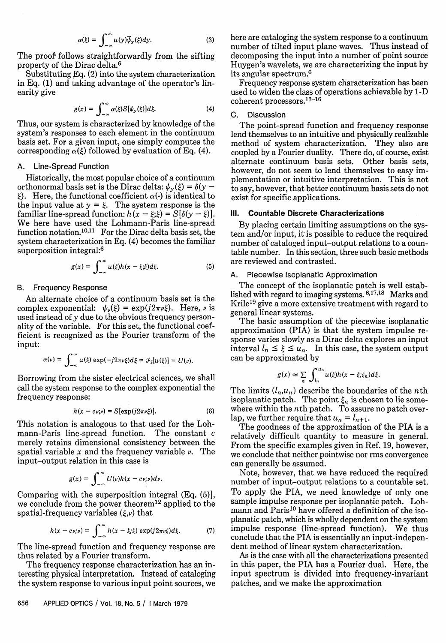$$
\alpha(\xi) = \int_{-\infty}^{\infty} u(y)\overline{\psi}_y(\xi)dy.
$$
 (3)

The proof follows straightforwardly from the sifting property of the Dirac delta.6

Substituting Eq. (2) into the system characterization in Eq. (1) and taking advantage of the operator's linearity give

$$
g(x) = \int_{-\infty}^{\infty} \alpha(\xi) S[\psi_y(\xi)] d\xi.
$$
 (4)

Thus, our system is characterized by knowledge of the system's responses to each element in the continuum basis set. For a given input, one simply computes the corresponding  $\alpha(\xi)$  followed by evaluation of Eq. (4).

#### A. Line-Spread Function

Historically, the most popular choice of a continuum orthonormal basis set is the Dirac delta:  $\psi_{\nu}(\xi) = \delta(\gamma \xi$ ). Here, the functional coefficient  $\alpha(\cdot)$  is identical to the input value at  $y = \xi$ . The system response is the familiar line-spread function:  $h(x - \xi;\xi) = S[\delta(y - \xi)].$ We here have used the Lohmann-Paris line-spread function notation.<sup>10,11</sup> For the Dirac delta basis set, the system characterization in Eq. (4) becomes the familiar superposition integral:6

$$
g(x) = \int_{-\infty}^{\infty} u(\xi)h(x - \xi; \xi) d\xi.
$$
 (5)

## B. **Frequency Response**

An alternate choice of a continuum basis set is the complex exponential:  $\psi_{\nu}(\xi) = \exp(j2\pi\nu\xi)$ . Here,  $\nu$  is used instead of y due to the obvious frequency personality of the variable. For this set, the functional coefficient is recognized as the Fourier transform of the input:

$$
\alpha(\nu) = \int_{-\infty}^{\infty} u(\xi) \exp(-j2\pi\nu\xi) d\xi = \mathcal{F}_{\xi}[u(\xi)] = U(\nu).
$$

Borrowing from the sister electrical sciences, we shall call the system response to the complex exponential the frequency response:

$$
k(x - c\nu;\nu) = S[\exp(j2\pi\nu\xi)].
$$
 (6)

This notation is analogous to that used for the Lohmann-Paris line-spread function. The constant c merely retains dimensional consistency between the spatial variable x and the frequency variable *v.* The input-output relation in this case is

$$
g(x) = \int_{-\infty}^{\infty} U(\nu)k(x-c\nu;\nu) d\nu.
$$

Comparing with the superposition integral (Eq. (5)], we conclude from the power theorem<sup>12</sup> applied to the spatial-frequency variables  $(\xi, \nu)$  that

$$
h(x-c\nu;\nu)=\int_{-\infty}^{\infty}h(x-\xi;\xi)\exp(j2\pi\nu\xi)d\xi.
$$
 (7)

The line-spread function and frequency response are thus related by a Fourier transform.

The frequency response characterization has an interesting physical interpretation. Instead of cataloging the system response to various input point sources, we here are cataloging the system response to a continuum number of tilted input plane waves. Thus instead of decomposing the input into a number of point source Huygen's wavelets, we are characterizing the input by its angular spectrum.6

Frequency response system characterization has been used to widen the class of operations achievable by 1-D coherent processors.13-16

## C. Discussion

The point-spread function and frequency response lend themselves to an intuitive and physically realizable method of system characterization. They also are coupled by a Fourier duality. There do, of course, exist alternate continuum basis sets. Other basis sets, however, do not seem to lend themselves to easy implementation or intuitive interpretation. This is not to say, however, that better continuum basis sets do not exist for specific applications.

# **Ill. Countable Discrete Characterizations**

By placing certain limiting assumptions on the system and/or input, it is possible to reduce the required number of cataloged input-output relations to a countable number. In this section, three such basic methods are reviewed and contrasted.

#### A. Piecewise Isoplanatic Approximation

The concept of the isoplanatic patch is well established with regard to imaging systems.  $6,17,18$  Marks and Krile19 give a more extensive treatment with regard to general linear systems.

The basic assumption of the piecewise isoplanatic approximation (PIA) is that the system impulse response varies slowly as a Dirac delta explores an input interval  $l_n \leq \xi \leq u_n$ . In this case, the system output can be approximated by

$$
g(x) \simeq \sum_{n} \int_{l_n}^{u_n} u(\xi)h(x-\xi;\xi_n)d\xi.
$$

The limits  $(l_n, u_n)$  describe the boundaries of the *n*th isoplanatic patch. The point  $\xi_n$  is chosen to lie somewhere within the nth patch. To assure no patch overlap, we further require that  $u_n = l_{n+1}$ .

The goodness of the approximation of the PIA is a relatively difficult quantity to measure in general. From the specific examples given in Ref. 19, however, we conclude that neither pointwise nor rms convergence can generally be assumed.

Note, however, that we have reduced the required number of input-output relations to a countable set. To apply the PIA, we need knowledge of only one sample impulse response per isoplanatic patch. Lohmann and Paris<sup>10</sup> have offered a definition of the isoplanatic patch, which is wholly dependent on the system impulse response (line-spread function). We thus conclude that the PIA is essentially an input-independent method of linear system characterization.

As is the case with all the characterizations presented in this paper, the PIA has a Fourier dual. Here, the input spectrum is divided into frequency-invariant patches, and we make the approximation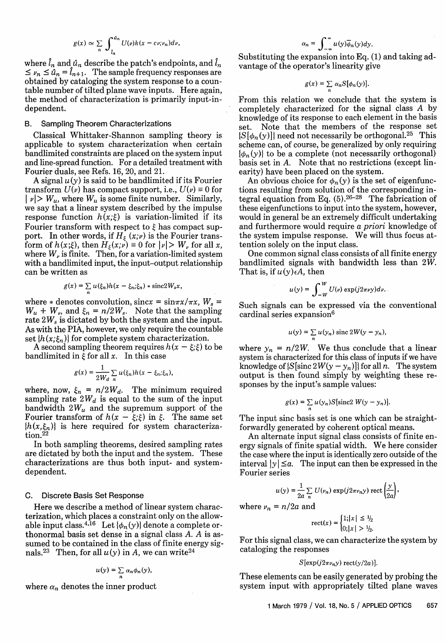$$
g(x) \simeq \sum_{n} \int_{l_n}^{a_n} U(\nu) k(x - c \nu; \nu_n) d\nu,
$$

where  $\hat{l}_n$  and  $\hat{u}_n$  describe the patch's endpoints, and  $\hat{l}_n$  $\leq v_n \leq \hat{u}_n = \hat{l}_{n+1}$ . The sample frequency responses are obtained by cataloging the system response to a countable number of tilted plane wave inputs. Here again, the method of characterization is primarily input-independent.

#### B. Sampling Theorem Characterizations

Classical Whittaker-Shannon sampling theory is applicable to system characterization when certain bandlimited constraints are placed on the system input and line-spread function. For a detailed treatment with Fourier duals, see Refs. 16, 20, and 21.

A signal  $u(y)$  is said to be bandlimited if its Fourier transform  $U(\nu)$  has compact support, i.e.,  $U(\nu) \equiv 0$  for  $|v| > W_u$ , where  $W_u$  is some finite number. Similarly, we say that a linear system described by the impulse response function  $h(x;\xi)$  is variation-limited if its Fourier transform with respect to  $\xi$  has compact support. In other words, if  $H_{\xi}(x;\nu)$  is the Fourier transform of  $h(x;\xi)$ , then  $H_{\xi}(x;\nu) \equiv 0$  for  $|\nu| > W_{\nu}$  for all x, where  $W_{\nu}$  is finite. Then, for a variation-limited system with a bandlimited input, the input-output relationship can be written as

$$
g(x) = \sum_{n} u(\xi_n)h(x - \xi_n; \xi_n) * \text{sinc}2W_s x,
$$

where  $*$  denotes convolution, sincx =  $\sin \pi x / \pi x$ ,  $W_s$  =  $W_u + W_v$ , and  $\xi_n = n/2W_s$ . Note that the sampling rate 2W, is dictated by both the system and the input. As with the PIA, however, we only require the countable set  $\{h(x;\xi_n)\}\$ for complete system characterization.

A second sampling theorem requires  $h(x - \xi;\xi)$  to be bandlimited in  $\xi$  for all x. In this case

$$
g(x) = \frac{1}{2W_d} \sum_n u(\xi_n) h(x - \xi_n; \xi_n),
$$

where, now,  $\xi_n = n/2W_d$ . The minimum required sampling rate  $2W_d$  is equal to the sum of the input bandwidth  $2W_u$  and the supremum support of the Fourier transform of  $h(x - \xi;\xi)$  in  $\xi$ . The same set  ${h(x,\xi_n)}$  is here required for system characteriza- $\rm tion.$ <sup>22</sup>

In both sampling theorems, desired sampling rates are dictated by both the input and the system. These characterizations are thus both input- and systemdependent.

# C. Discrete Basis Set Response

Here we describe a method of linear system characterization, which places a constraint only on the allowable input class.<sup>4,16</sup> Let  $\{\phi_n(y)\}$  denote a complete orthonormal basis set dense in a signal class A. *A* is assumed to be contained in the class of finite energy signals.<sup>23</sup> Then, for all  $u(y)$  in A, we can write<sup>24</sup>

$$
u(y)=\sum_n \alpha_n \phi_n(y),
$$

where  $\alpha_n$  denotes the inner product

$$
\alpha_n = \int_{-\infty}^{\infty} u(y) \overline{\phi}_n(y) dy.
$$

Substituting the expansion into Eq. (1) and taking advantage of the operator's linearity give

$$
g(x)=\sum_n\,\alpha_n S[\phi_n(y)].
$$

From this relation we conclude that the system is completely characterized for the signal class A by knowledge of its response to each element in the basis set. Note that the members of the response set  $\{S[\phi_n(y)]\}$  need not necessarily be orthogonal.<sup>25</sup> This scheme can, of course, be generalized by only requiring  $\{\phi_n(y)\}\$ to be a complete (not necessarily orthogonal) basis set in A. Note that no restrictions (except linearity) have been placed on the system.

An obvious choice for  $\phi_n(y)$  is the set of eigenfunctions resulting from solution of the corresponding integral equation from Eq.  $(5)$ .<sup>26-28</sup> The fabrication of these eigenfunctions to input into the system, however, would in general be an extremely difficult undertaking and furthermore would require a *priori* knowledge of the system impulse response. We will thus focus attention solely on the input class.

One common signal class consists of all finite energy bandlimited signals with bandwidth less than *2W.* That is, if  $u(y)\in A$ , then

$$
u(y) = \int_{-W}^{W} U(\nu) \exp(j2\pi\nu y) d\nu.
$$

Such signals can be expressed via the conventional cardinal series expansion<sup>6</sup>

$$
u(y) = \sum_{n} u(y_n) \operatorname{sinc} 2W(y - y_n),
$$

where  $y_n = n/2W$ . We thus conclude that a linear system is characterized for this class of inputs if we have knowledge of  $\{S[\text{sinc }2W(y-y_n)]\}$  for all *n*. The system output is then found simply by weighting these responses by the input's sample values:

$$
g(x) = \sum_{n} u(y_n) S[\text{sinc2 } W(y - y_n)].
$$

The input sinc basis set is one which can be straightforwardly generated by coherent optical means.

An alternate input signal class consists of finite energy signals of finite spatial width. We here consider the case where the input is identically zero outside of the interval  $|y| \le a$ . The input can then be expressed in the Fourier series

$$
u(y) = \frac{1}{2a} \sum_{n} U(\nu_n) \exp(j2\pi\nu_n y) \operatorname{rect}\left(\frac{y}{2a}\right),
$$

where  $\nu_n = n/2a$  and

$$
\text{rect}(x) = \begin{cases} 1; |x| \le 1/2 \\ 0; |x| > 1/2. \end{cases}
$$

For this signal class, we can characterize the system by cataloging the responses

#### $S[\exp(j2\pi\nu_n y)\mathrm{rect}(y/2a)].$

These elements can be easily generated by probing the system input with appropriately tilted plane waves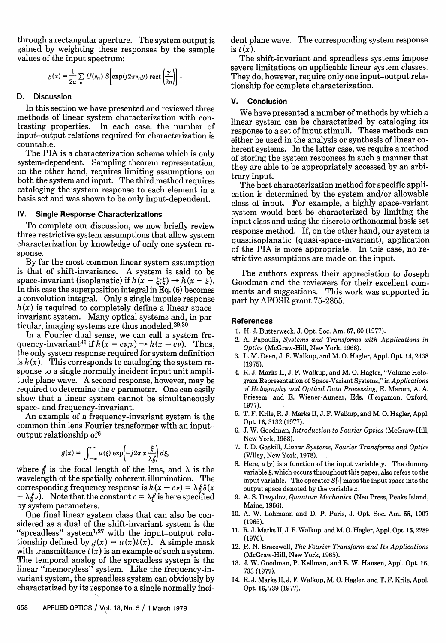through a rectangular aperture. The system output is gained by weighting these responses by the sample values of the input spectrum:

$$
g(x) = \frac{1}{2a} \sum_n U(\nu_n) S \bigg[ \exp(j2\pi\nu_n y) \, \text{rect}\left(\frac{y}{2a}\right) \bigg] \ .
$$

## D. Discussion

In this section we have presented and reviewed three methods of linear system characterization with contrasting properties. In each case, the number of input-output relations required for characterization is countable.

The PIA is a characterization scheme which is only system-dependent. Sampling theorem representation, on the other hand, requires limiting assumptions on both the system and input. The third method requires cataloging the system response to each element in a basis set and was shown to be only input-dependent.

## IV. **Single Response Characterizations**

To complete our discussion, we now briefly review three restrictive system assumptions that allow system characterization by knowledge of only one system response.

By far the most common linear system assumption is that of shift-invariance. A system is said to be space-invariant (isoplanatic) if  $h(x - \xi;\xi) \rightarrow h(x - \xi)$ . In this case the superposition integral in Eq. (6) becomes a convolution integral. Only a single impulse response  $h(x)$  is required to completely define a linear spaceinvariant system. Many optical systems and, in particular, imaging systems are thus modeled.<sup>29,30</sup>

In a Fourier dual sense, we can call a system frequency-invariant<sup>31</sup> if  $k(x-cv;v) \rightarrow k(x-cv)$ . Thus, the only system response required for system definition is  $k(x)$ . This corresponds to cataloging the system response to a single normally incident input unit amplitude plane wave. A second response, however, may be required to determine the c parameter. One can easily show that a linear system cannot be simultaneously space- and frequency-invariant.

An example of a frequency-invariant system is the common thin lens Fourier transformer with an inputoutput relationship of6

$$
g(x) = \int_{-\infty}^{\infty} u(\xi) \exp\left(-j2\pi x \frac{\xi}{\lambda \beta}\right) d\xi,
$$

where  $f_i$  is the focal length of the lens, and  $\lambda$  is the wavelength of the spatially coherent illumination. The corresponding frequency response is  $k(x - c\nu) = \lambda \beta \delta(x)$  $-\lambda f\nu$ ). Note that the constant  $c = \lambda f$  is here specified by system parameters.

One final linear system class that can also be considered as a dual of the shift-invariant system is the "spreadless" system $1,27$  with the input-output relationship defined by  $g(x) = u(x)t(x)$ . A simple mask with transmittance  $t(x)$  is an example of such a system. The temporal analog of the spreadless system is the linear "memoryless" system. Like the frequency-invariant system, the spreadless system can obviously by characterized by its response to a single normally incident plane wave. The corresponding system response is  $t(x)$ .

The shift-invariant and spreadless systems impose severe limitations on applicable linear system classes. They do, however, require only one input-output relationship for complete characterization.

## **V. Conclusion**

We have presented a number of methods by which a linear system can be characterized by cataloging its response to a set of input stimuli. These methods can either be used in the analysis or synthesis of linear coherent systems. In the latter case, we require a method of storing the system responses in such a manner that they are able to be appropriately accessed by an arbitrary input.

The best characterization method for specific application is determined by the system and/or allowable class of input. For example, a highly space-variant system would best be characterized by limiting the input class and using the discrete orthonormal basis set response method. If, on the other hand, our system is quasiisoplanatic (quasi-space-invariant), application of the PIA is more appropriate. In this case, no restrictive assumptions are made on the input.

The authors express their appreciation to Joseph Goodman and the reviewers for their excellent comments and suggestions. This work was supported in part by AFOSR grant 75-2855.

#### **References**

- 1. H. J. Butterweck, J. Opt. Soc. Am. 67, 60 (1977).
- 2. A. Papoulis, *Systems and Transforms with Applications in Optics* (McGraw-Hill, New York, 1968).
- 3. L. M. Deen, J. F. Walkup, and M. 0. Hagler, Appl. Opt. 14,2438 (1975).
- 4. R. J. Marks II, J. F. Walkup, and M. 0. Hagler, "Volume Hologram Representation of Space-Variant Systems," in *Applications of Holography and Optical Data Processing,* E. Marom, A. A. Friesem, and E. Wiener-Aunear, Eds. (Pergamon, Oxford, 1977).
- 5. T. F. Krile, R. J. Marks II, J. F. Walkup, and M. 0. Hagler, Appl. Opt. 16, 3132 (1977).
- 6. J. W. Goodman, *Introduction to Fourier Optics* (McGraw-Hill, New York, 1968).
- 7. J. D. Gaskill, *Linear Systems, Fourier Transforms and Optics* (Wiley, New York, 1978).
- 8. Here,  $u(y)$  is a function of the input variable y. The dummy variable  $\xi$ , which occurs throughout this paper, also refers to the input variable. The operator  $S[\cdot]$  maps the input space into the output space denoted by the variable  $x$ .
- 9. A. S. Davydov, *Quantum Mechanics* (Neo Press, Peaks Island, Maine, 1966).
- 10. A. W. Lohmann and D. P. Paris, J. Opt. Soc. Am. 55, 1007 (1965).
- 11. R. J. Marks II, J. F. Walkup, and M. 0. Hagler, Appl. Opt. 15,2289 (1976).
- 12. R. N. Bracewell, *The Fourier Transform and Its Applications* (McGraw-Hill, New York, 1965).
- 13. J. W. Goodman, P. Kellman, and E. W. Hansen, Appl. Opt. 16, 733 (1977).
- 14. R. J. Marks II, J. F. Walkup, M. 0. Hagler, and T. F. Krile, Appl. Opt. 16, 739 (1977).